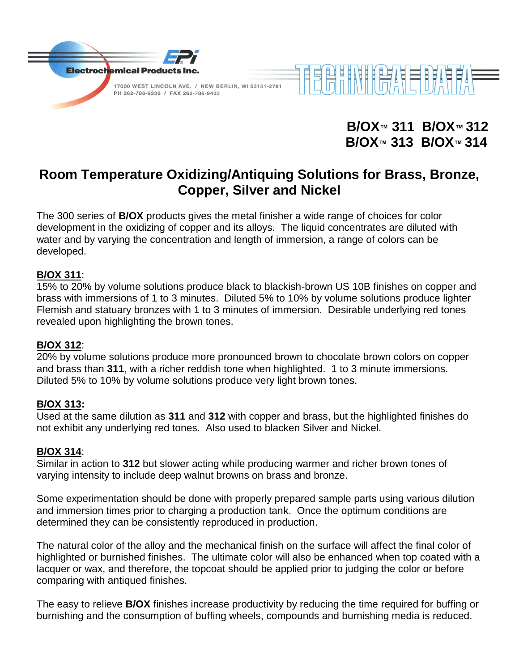

**B/OX™ 311 B/OX™ 312 B/OX™ 313 B/OX™ 314**

# **Room Temperature Oxidizing/Antiquing Solutions for Brass, Bronze, Copper, Silver and Nickel**

The 300 series of **B/OX** products gives the metal finisher a wide range of choices for color development in the oxidizing of copper and its alloys. The liquid concentrates are diluted with water and by varying the concentration and length of immersion, a range of colors can be developed.

#### **B/OX 311**:

15% to 20% by volume solutions produce black to blackish-brown US 10B finishes on copper and brass with immersions of 1 to 3 minutes. Diluted 5% to 10% by volume solutions produce lighter Flemish and statuary bronzes with 1 to 3 minutes of immersion. Desirable underlying red tones revealed upon highlighting the brown tones.

#### **B/OX 312**:

20% by volume solutions produce more pronounced brown to chocolate brown colors on copper and brass than **311**, with a richer reddish tone when highlighted. 1 to 3 minute immersions. Diluted 5% to 10% by volume solutions produce very light brown tones.

#### **B/OX 313:**

Used at the same dilution as **311** and **312** with copper and brass, but the highlighted finishes do not exhibit any underlying red tones. Also used to blacken Silver and Nickel.

#### **B/OX 314**:

Similar in action to **312** but slower acting while producing warmer and richer brown tones of varying intensity to include deep walnut browns on brass and bronze.

Some experimentation should be done with properly prepared sample parts using various dilution and immersion times prior to charging a production tank. Once the optimum conditions are determined they can be consistently reproduced in production.

The natural color of the alloy and the mechanical finish on the surface will affect the final color of highlighted or burnished finishes. The ultimate color will also be enhanced when top coated with a lacquer or wax, and therefore, the topcoat should be applied prior to judging the color or before comparing with antiqued finishes.

The easy to relieve **B/OX** finishes increase productivity by reducing the time required for buffing or burnishing and the consumption of buffing wheels, compounds and burnishing media is reduced.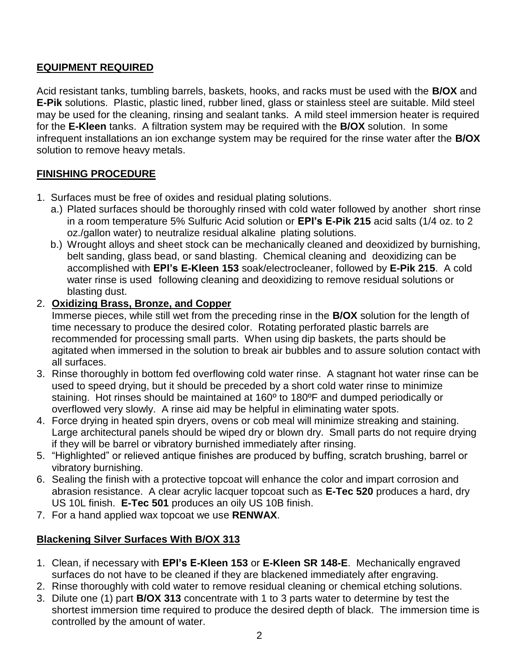## **EQUIPMENT REQUIRED**

Acid resistant tanks, tumbling barrels, baskets, hooks, and racks must be used with the **B/OX** and **E-Pik** solutions. Plastic, plastic lined, rubber lined, glass or stainless steel are suitable. Mild steel may be used for the cleaning, rinsing and sealant tanks. A mild steel immersion heater is required for the **E-Kleen** tanks. A filtration system may be required with the **B/OX** solution. In some infrequent installations an ion exchange system may be required for the rinse water after the **B/OX** solution to remove heavy metals.

# **FINISHING PROCEDURE**

- 1. Surfaces must be free of oxides and residual plating solutions.
	- a.) Plated surfaces should be thoroughly rinsed with cold water followed by another short rinse in a room temperature 5% Sulfuric Acid solution or **EPI's E-Pik 215** acid salts (1/4 oz. to 2 oz./gallon water) to neutralize residual alkaline plating solutions.
	- b.) Wrought alloys and sheet stock can be mechanically cleaned and deoxidized by burnishing, belt sanding, glass bead, or sand blasting. Chemical cleaning and deoxidizing can be accomplished with **EPI's E-Kleen 153** soak/electrocleaner, followed by **E-Pik 215**. A cold water rinse is used following cleaning and deoxidizing to remove residual solutions or blasting dust.

## 2. **Oxidizing Brass, Bronze, and Copper**

Immerse pieces, while still wet from the preceding rinse in the **B/OX** solution for the length of time necessary to produce the desired color. Rotating perforated plastic barrels are recommended for processing small parts. When using dip baskets, the parts should be agitated when immersed in the solution to break air bubbles and to assure solution contact with all surfaces.

- 3. Rinse thoroughly in bottom fed overflowing cold water rinse. A stagnant hot water rinse can be used to speed drying, but it should be preceded by a short cold water rinse to minimize staining. Hot rinses should be maintained at 160º to 180ºF and dumped periodically or overflowed very slowly. A rinse aid may be helpful in eliminating water spots.
- 4. Force drying in heated spin dryers, ovens or cob meal will minimize streaking and staining. Large architectural panels should be wiped dry or blown dry. Small parts do not require drying if they will be barrel or vibratory burnished immediately after rinsing.
- 5. "Highlighted" or relieved antique finishes are produced by buffing, scratch brushing, barrel or vibratory burnishing.
- 6. Sealing the finish with a protective topcoat will enhance the color and impart corrosion and abrasion resistance. A clear acrylic lacquer topcoat such as **E-Tec 520** produces a hard, dry US 10L finish. **E-Tec 501** produces an oily US 10B finish.
- 7. For a hand applied wax topcoat we use **RENWAX**.

## **Blackening Silver Surfaces With B/OX 313**

- 1. Clean, if necessary with **EPI's E-Kleen 153** or **E-Kleen SR 148-E**. Mechanically engraved surfaces do not have to be cleaned if they are blackened immediately after engraving.
- 2. Rinse thoroughly with cold water to remove residual cleaning or chemical etching solutions.
- 3. Dilute one (1) part **B/OX 313** concentrate with 1 to 3 parts water to determine by test the shortest immersion time required to produce the desired depth of black. The immersion time is controlled by the amount of water.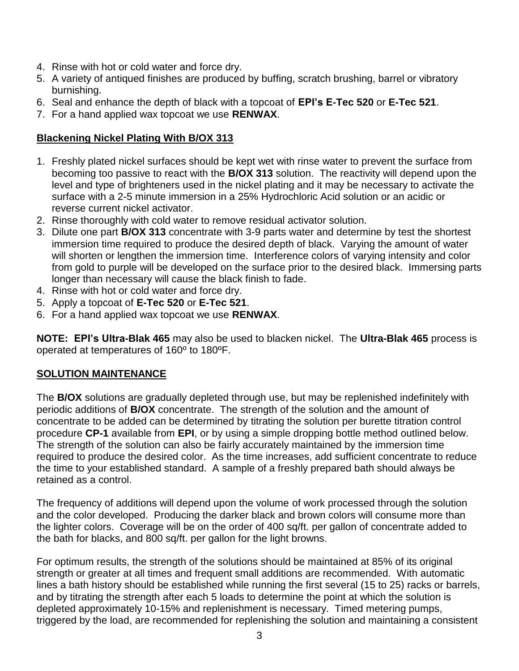- 4. Rinse with hot or cold water and force dry.
- 5. A variety of antiqued finishes are produced by buffing, scratch brushing, barrel or vibratory burnishing.
- 6. Seal and enhance the depth of black with a topcoat of **EPI's E-Tec 520** or **E-Tec 521**.
- 7. For a hand applied wax topcoat we use **RENWAX**.

## **Blackening Nickel Plating With B/OX 313**

- 1. Freshly plated nickel surfaces should be kept wet with rinse water to prevent the surface from becoming too passive to react with the **B/OX 313** solution. The reactivity will depend upon the level and type of brighteners used in the nickel plating and it may be necessary to activate the surface with a 2-5 minute immersion in a 25% Hydrochloric Acid solution or an acidic or reverse current nickel activator.
- 2. Rinse thoroughly with cold water to remove residual activator solution.
- 3. Dilute one part **B/OX 313** concentrate with 3-9 parts water and determine by test the shortest immersion time required to produce the desired depth of black. Varying the amount of water will shorten or lengthen the immersion time. Interference colors of varying intensity and color from gold to purple will be developed on the surface prior to the desired black. Immersing parts longer than necessary will cause the black finish to fade.
- 4. Rinse with hot or cold water and force dry.
- 5. Apply a topcoat of **E-Tec 520** or **E-Tec 521**.
- 6. For a hand applied wax topcoat we use **RENWAX**.

**NOTE: EPI's Ultra-Blak 465** may also be used to blacken nickel. The **Ultra-Blak 465** process is operated at temperatures of 160º to 180ºF.

## **SOLUTION MAINTENANCE**

The **B/OX** solutions are gradually depleted through use, but may be replenished indefinitely with periodic additions of **B/OX** concentrate. The strength of the solution and the amount of concentrate to be added can be determined by titrating the solution per burette titration control procedure **CP-1** available from **EPI**, or by using a simple dropping bottle method outlined below. The strength of the solution can also be fairly accurately maintained by the immersion time required to produce the desired color. As the time increases, add sufficient concentrate to reduce the time to your established standard. A sample of a freshly prepared bath should always be retained as a control.

The frequency of additions will depend upon the volume of work processed through the solution and the color developed. Producing the darker black and brown colors will consume more than the lighter colors. Coverage will be on the order of 400 sq/ft. per gallon of concentrate added to the bath for blacks, and 800 sq/ft. per gallon for the light browns.

For optimum results, the strength of the solutions should be maintained at 85% of its original strength or greater at all times and frequent small additions are recommended. With automatic lines a bath history should be established while running the first several (15 to 25) racks or barrels, and by titrating the strength after each 5 loads to determine the point at which the solution is depleted approximately 10-15% and replenishment is necessary. Timed metering pumps, triggered by the load, are recommended for replenishing the solution and maintaining a consistent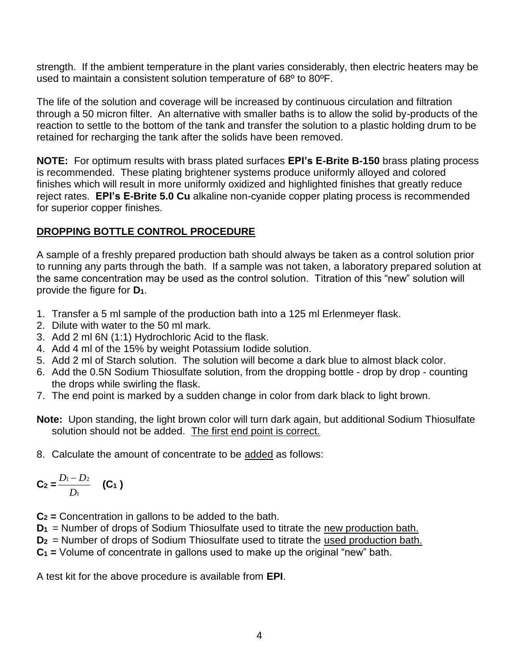strength. If the ambient temperature in the plant varies considerably, then electric heaters may be used to maintain a consistent solution temperature of 68º to 80ºF.

The life of the solution and coverage will be increased by continuous circulation and filtration through a 50 micron filter. An alternative with smaller baths is to allow the solid by-products of the reaction to settle to the bottom of the tank and transfer the solution to a plastic holding drum to be retained for recharging the tank after the solids have been removed.

**NOTE:** For optimum results with brass plated surfaces **EPI's E-Brite B-150** brass plating process is recommended. These plating brightener systems produce uniformly alloyed and colored finishes which will result in more uniformly oxidized and highlighted finishes that greatly reduce reject rates. **EPI's E-Brite 5.0 Cu** alkaline non-cyanide copper plating process is recommended for superior copper finishes.

### **DROPPING BOTTLE CONTROL PROCEDURE**

A sample of a freshly prepared production bath should always be taken as a control solution prior to running any parts through the bath. If a sample was not taken, a laboratory prepared solution at the same concentration may be used as the control solution. Titration of this "new" solution will provide the figure for **D1**.

- 1. Transfer a 5 ml sample of the production bath into a 125 ml Erlenmeyer flask.
- 2. Dilute with water to the 50 ml mark.
- 3. Add 2 ml 6N (1:1) Hydrochloric Acid to the flask.
- 4. Add 4 ml of the 15% by weight Potassium Iodide solution.
- 5. Add 2 ml of Starch solution. The solution will become a dark blue to almost black color.
- 6. Add the 0.5N Sodium Thiosulfate solution, from the dropping bottle drop by drop counting the drops while swirling the flask.
- 7. The end point is marked by a sudden change in color from dark black to light brown.

**Note:** Upon standing, the light brown color will turn dark again, but additional Sodium Thiosulfate solution should not be added. The first end point is correct.

8. Calculate the amount of concentrate to be added as follows:

$$
C_2 = \frac{D_1 - D_2}{D_1} \quad (C_1)
$$

**C<sup>2</sup> =** Concentration in gallons to be added to the bath.

**D<sup>1</sup>** = Number of drops of Sodium Thiosulfate used to titrate the new production bath.

**D<sup>2</sup>** = Number of drops of Sodium Thiosulfate used to titrate the used production bath.

**C<sup>1</sup> =** Volume of concentrate in gallons used to make up the original "new" bath.

A test kit for the above procedure is available from **EPI**.